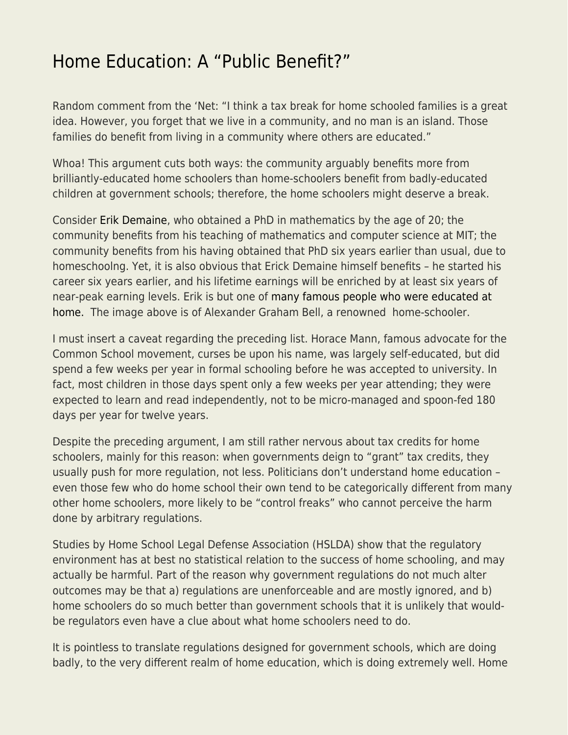## [Home Education: A "Public Benefit?"](https://everything-voluntary.com/home-education-public-benefit)

Random comment from the 'Net: "I think a tax break for home schooled families is a great idea. However, you forget that we live in a community, and no man is an island. Those families do benefit from living in a community where others are educated."

Whoa! This argument cuts both ways: the community arguably benefits more from brilliantly-educated home schoolers than home-schoolers benefit from badly-educated children at government schools; therefore, the home schoolers might deserve a break.

Consider [Erik Demaine](http://erikdemaine.org/), who obtained a PhD in mathematics by the age of 20; the community benefits from his teaching of mathematics and computer science at MIT; the community benefits from his having obtained that PhD six years earlier than usual, due to homeschoolng. Yet, it is also obvious that Erick Demaine himself benefits – he started his career six years earlier, and his lifetime earnings will be enriched by at least six years of near-peak earning levels. Erik is but one of [many famous people who were educated at](https://www.homeschoolacademy.com/a/famoushomeschoolers/) [home.](https://www.homeschoolacademy.com/a/famoushomeschoolers/) The image above is of Alexander Graham Bell, a renowned home-schooler.

I must insert a caveat regarding the preceding list. Horace Mann, famous advocate for the Common School movement, curses be upon his name, was largely self-educated, but did spend a few weeks per year in formal schooling before he was accepted to university. In fact, most children in those days spent only a few weeks per year attending; they were expected to learn and read independently, not to be micro-managed and spoon-fed 180 days per year for twelve years.

Despite the preceding argument, I am still rather nervous about tax credits for home schoolers, mainly for this reason: when governments deign to "grant" tax credits, they usually push for more regulation, not less. Politicians don't understand home education – even those few who do home school their own tend to be categorically different from many other home schoolers, more likely to be "control freaks" who cannot perceive the harm done by arbitrary regulations.

Studies by Home School Legal Defense Association (HSLDA) show that the regulatory environment has at best no statistical relation to the success of home schooling, and may actually be harmful. Part of the reason why government regulations do not much alter outcomes may be that a) regulations are unenforceable and are mostly ignored, and b) home schoolers do so much better than government schools that it is unlikely that wouldbe regulators even have a clue about what home schoolers need to do.

It is pointless to translate regulations designed for government schools, which are doing badly, to the very different realm of home education, which is doing extremely well. Home